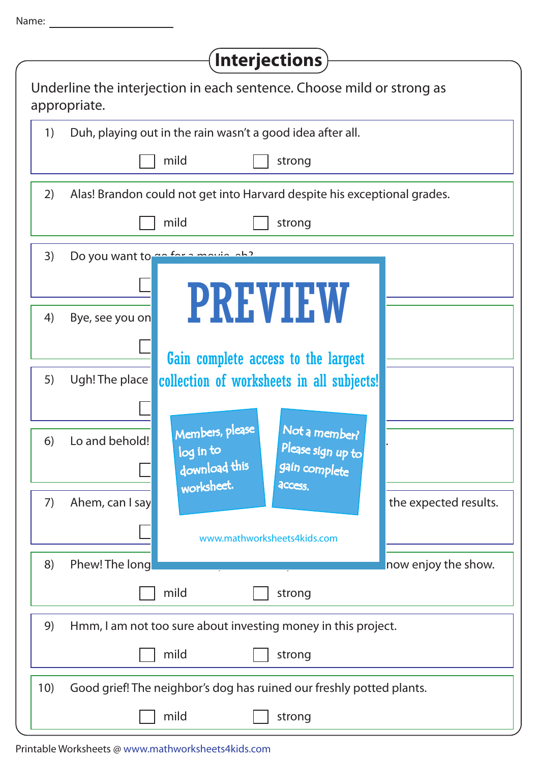| г<br>a sa |  |  |
|-----------|--|--|

| <b>Interjections</b>                                                                  |  |  |  |  |
|---------------------------------------------------------------------------------------|--|--|--|--|
| Underline the interjection in each sentence. Choose mild or strong as<br>appropriate. |  |  |  |  |
| Duh, playing out in the rain wasn't a good idea after all.<br>1)                      |  |  |  |  |
| mild<br>strong                                                                        |  |  |  |  |
| 2)<br>Alas! Brandon could not get into Harvard despite his exceptional grades.        |  |  |  |  |
| mild<br>strong                                                                        |  |  |  |  |
| Do you want to ge for a movie ab?<br>3)                                               |  |  |  |  |
|                                                                                       |  |  |  |  |
| <b>PREVIEW</b><br>Bye, see you on<br>4)                                               |  |  |  |  |
| Gain complete access to the largest                                                   |  |  |  |  |
| 5)<br>Ugh! The place<br>collection of worksheets in all subjects!                     |  |  |  |  |
|                                                                                       |  |  |  |  |
| Members, please<br>Not a member?<br>Lo and behold!<br>6)                              |  |  |  |  |
| Please sign up to<br>log in to<br>download this<br>gain complete                      |  |  |  |  |
| worksheet.<br><b>ACCESS.</b><br>7)<br>Ahem, can I say<br>the expected results.        |  |  |  |  |
| www.mathworksheets4kids.com                                                           |  |  |  |  |
| Phew! The long<br>8)<br>now enjoy the show.                                           |  |  |  |  |
| mild<br>strong                                                                        |  |  |  |  |
| 9)<br>Hmm, I am not too sure about investing money in this project.                   |  |  |  |  |
| mild<br>strong                                                                        |  |  |  |  |
| 10)<br>Good grief! The neighbor's dog has ruined our freshly potted plants.           |  |  |  |  |
| mild<br>strong                                                                        |  |  |  |  |